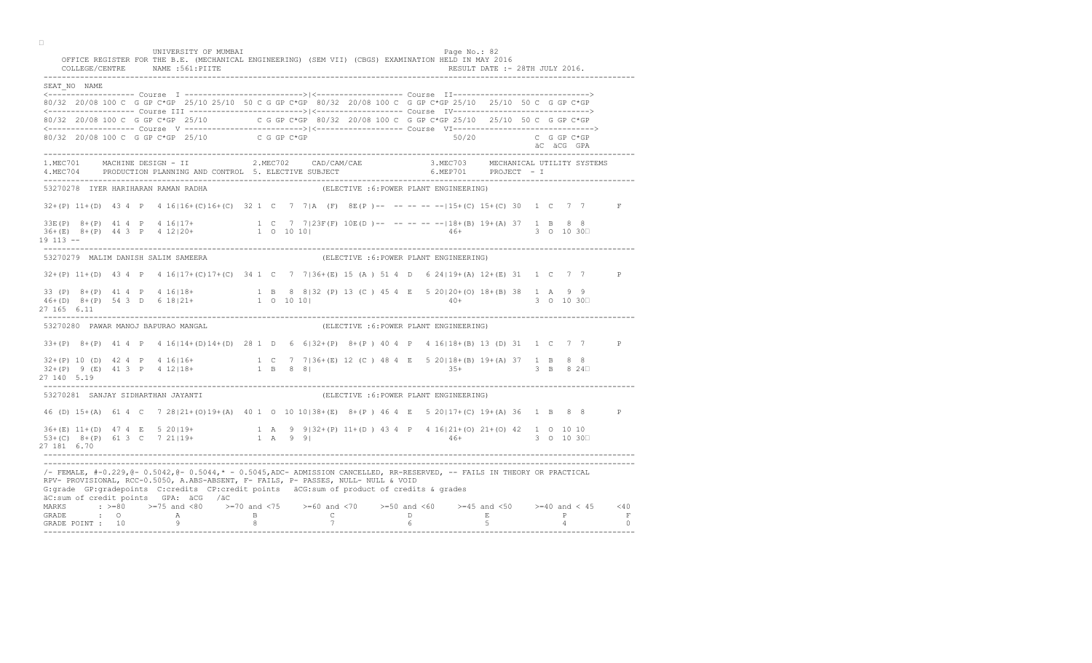TO BE ACTUALLY AND RESERVED BY PCE EXAMPLE TO BE ALL PROPERTY. UNIVERSITY OF MUMBAI Page No.: 82 OFFICE REGISTER FOR THE B.E. (MECHANICAL ENGINEERING) (SEM VII) (CBGS) EXAMINATION HELD IN MAY 2016<br>COLLEGE/CENTRE 198TH JULY 2016. COLLEGE/CENTRE NAME :561:PIITE ---------------------------------------------------------------------------------------------------------------------------------- SEAT\_NO NAME <------------------- Course I -------------------------->|<------------------- Course II------------------------------> 80/32 20/08 100 C G GP C\*GP 25/10 25/10 50 C G GP C\*GP 80/32 20/08 100 C G GP C\*GP 25/10 25/10 50 C G GP C\*GP <------------------- Course III ------------------------->|<------------------- Course IV------------------------------> 80/32 20/08 100 C G GP C\*GP 25/10 C G GP C\*GP 80/32 20/08 100 C G GP C\*GP 25/10 25/10 50 C G GP C\*GP <------------------- Course V -------------------------->|<------------------- Course VI-------------------------------> 80/32 20/08 100 C G GP C\*GP 25/10 C G GP C\*GP äC äCG GPA ---------------------------------------------------------------------------------------------------------------------------------- 1.MEC701 MACHINE DESIGN - II 2.MEC702 CAD/CAM/CAE 3.MEC703 MECHANICAL UTILITY SYSTEMS 4.MEC704 PRODUCTION PLANNING AND CONTROL 5. ELECTIVE SUBJECT ---------------------------------------------------------------------------------------------------------------------------------- 53270278 IYER HARIHARAN RAMAN RADHA (ELECTIVE :6:POWER PLANT ENGINEERING) 32+(P) 11+(D) 43 4 P 4 16|16+(C)16+(C) 32 1 C 7 7|A (F) 8E(P )-- -- -- -- --|15+(C) 15+(C) 30 1 C 7 7 F  $1 \quad C \quad 7 \quad 7123F(F) \quad 10E(D)$  -- -- -- -- --  $-18+ (B) \quad 19+ (A) \quad 37 \quad 1 \quad B \quad 8 \quad 8$  $36+(E)$   $8+(P)$   $44$  3 P  $4$  12| 20+ 19 113 -- ---------------------------------------------------------------------------------------------------------------------------------- 53270279 MALIM DANISH SALIM SAMEERA 32+(P) 11+(D) 43 4 P 4 16|17+(C)17+(C) 34 1 C 7 7|36+(E) 15 (A ) 51 4 D 6 24|19+(A) 12+(E) 31 1 C 7 7 P 33 (P) 8+(P) 41 4 P 4 16|18+ 1 B 8 8|32 (P) 13 (C ) 45 4 E 5 20|20+(O) 18+(B) 38 1 A 9 9 46+(D) 8+(P) 54 3 D 6 18|21+ 1 O 10 10| 40+ 3 O 10 30
 27 165 6.11 ---------------------------------------------------------------------------------------------------------------------------------- (ELECTIVE : 6: POWER PLANT ENGINEERING) 33+(P) 8+(P) 41 4 P 4 16|14+(D)14+(D) 28 1 D 6 6|32+(P) 8+(P) 40 4 P 4 16|18+(B) 13 32 + (P) 10 (D) 42 4 P 4 16 | 16 + 1 C 7 7 | 36 + (E) 12 (C) 48 4 E 5 20 | 18 + (A) 37 1 B 8 8<br>32 + (P) 9 (E) 41 3 P 4 12 | 18 + 1 B 8 8 | 35 + 3 B 8 24 27 140 5.19 ---------------------------------------------------------------------------------------------------------------------------------- 53270281 SANJAY SIDHARTHAN JAYANTI 46 (D) 15+(A) 61 4 C 7 28|21+(O)19+(A) 40 1 0 10 10 38+(E) 8+(P) 46 4  $\begin{array}{cccc} 4 & 16 & | & 21+ (0) & 21+ (0) & 42 & 1 & 0 & 10 & 10 \end{array}$  $53+(C)$   $8+(P)$  61 3 C 7 21 | 19 + 27 181 6.70 ---------------------------------------------------------------------------------------------------------------------------------- ---------------------------------------------------------------------------------------------------------------------------------- /- FEMALE, #-0.229,@- 0.5042,@- 0.5044,\* - 0.5045,ADC- ADMISSION CANCELLED, RR-RESERVED, -- FAILS IN THEORY OR PRACTICAL RPV- PROVISIONAL, RCC-0.5050, A.ABS-ABSENT, F- FAILS, P- PASSES, NULL- NULL & VOID G:grade GP:gradepoints C:credits CP:credit points acG:sum of product of credits & grades äC:sum of credit points GPA: äCG /äC MARKS  $: 50 \rightarrow 75$  and  $< 80$   $> = 70$  and  $< 55$ <br>
GRADE  $: 0$  A  $\frac{c}{c}$ GRADE POINT : 10 ----------------------------------------------------------------------------------------------------------------------------------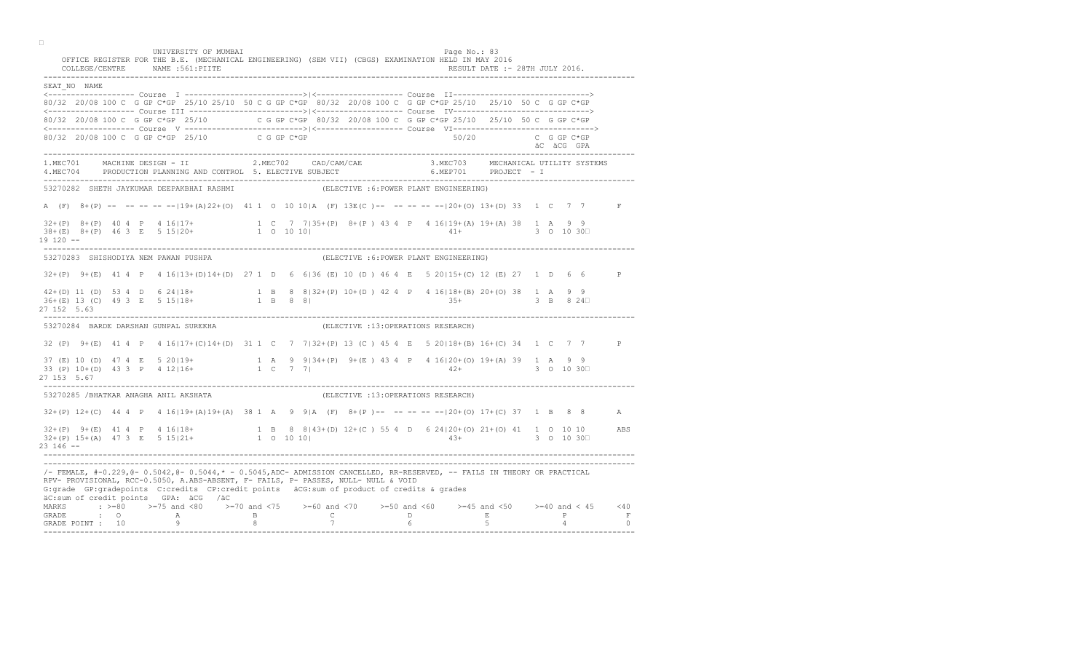TO BE AUTHORITY OF BUILDING UNIVERSITY OF MUMBAI Page No.: 83 OFFICE REGISTER FOR THE B.E. (MECHANICAL ENGINEERING) (SEM VII) (CBGS) EXAMINATION HELD IN MAY 2016<br>COLLEGE/CENTRE 198TH JULY 2016. COLLEGE/CENTRE NAME :561:PIITE ---------------------------------------------------------------------------------------------------------------------------------- SEAT\_NO NAME <------------------- Course I -------------------------->|<------------------- Course II------------------------------> 80/32 20/08 100 C G GP C\*GP 25/10 25/10 50 C G GP C\*GP 80/32 20/08 100 C G GP C\*GP 25/10 25/10 50 C G GP C\*GP <------------------- Course III ------------------------->|<------------------- Course IV------------------------------> 80/32 20/08 100 C G GP C\*GP 25/10 C G GP C\*GP 80/32 20/08 100 C G GP C\*GP 25/10 25/10 50 C G GP C\*GP <------------------- Course V -------------------------->|<------------------- Course VI-------------------------------> 80/32 20/08 100 C G GP C\*GP 25/10 C G GP C\*GP äC äCG GPA ---------------------------------------------------------------------------------------------------------------------------------- 1.MEC701 MACHINE DESIGN - II 2.MEC702 CAD/CAM/CAE 3.MEC703 MECHANICAL UTILITY SYSTEMS 4.MEC704 PRODUCTION PLANNING AND CONTROL 5. ELECTIVE SUBJECT ---------------------------------------------------------------------------------------------------------------------------------- 53270282 SHETH JAYKUMAR DEEPAKBHAI RASHMI A (F) 8+(P) -- -- -- -- -- |19+(A)22+(O) 41 1 0 10 10|A (F) 13E(C) -- -- -- -- -- -- |20+(O) 13+(D) 33 1 C 7 7 32+(P) 8+(P) 40 4 P 4 16|17+ 1 C 7 7|35+(P) 8+(P ) 43 4 P 4 16|19+(A) 19+(A) 38 1 A 9 9  $38+(E)$   $8+(P)$   $463$  E 5 15 | 20 + 19 120 -- ---------------------------------------------------------------------------------------------------------------------------------- 53270283 SHISHODIYA NEM PAWAN PUSHPA 32+(P) 9+(E) 41 4 P 4 16|13+(D)14+(D) 27 1 D 6 6|36 (E) 10 (D ) 46 4 E 5 20|15+(C) 12 (E) 27 1 D 6 6 P 42+(D) 11 (D) 53 4 D 6 24|18+ 1 B 8 8|32+(P) 10+(D ) 42 4 P 4 16|18+(B) 20+(O) 38 1 A 9 9 36+(E) 13 (C) 49 3 E 5 15|18+ 1 B 8 8| 35+ 3 B 8 24
 27 152 5.63 ---------------------------------------------------------------------------------------------------------------------------------- 53270284 BARDE DARSHAN GUNPAL SUREKHA 32 (P) 9+(E) 41 4 P 4 16|17+(C)14+(D) 31 1 C 7 7|32+(P) 13 (C) 45 4 E 5 20|18+(B) 16+(C) 34 37 (E) 10 (D) 47 4 E 5 20|19+ 1 A 9 9|34+(P) 9+(E) 43 4 P 4 16|20+(Q) 19+(A) 39 1 A 9 9<br>33 (P) 10+(D) 43 3 P 4 12|16+ 1 C 7 7| 42+ 42+ 3 O 10 30⊡ 27 153 5.67 ---------------------------------------------------------------------------------------------------------------------------------- 53270285 /BHATKAR ANAGHA ANIL AKSHATA 32+(P) 12+(C) 44 4 P 4 16|19+(A)19+(A) 38 1 A 9 9|A (F) 8+(P )-- -- -- -- --|20+(O) 17+(C) 37 1 B 8 8 A  $\begin{bmatrix} 6 & 24 & | & 20+ (0) & 21+ (0) & 41 & 1 & 0 & 10 & 10 \end{bmatrix}$  $32+(P)$  15+(A) 47 3 E 5 15|21+ 23 146 -- ---------------------------------------------------------------------------------------------------------------------------------- ---------------------------------------------------------------------------------------------------------------------------------- /- FEMALE, #-0.229,@- 0.5042,@- 0.5044,\* - 0.5045,ADC- ADMISSION CANCELLED, RR-RESERVED, -- FAILS IN THEORY OR PRACTICAL RPV- PROVISIONAL, RCC-0.5050, A.ABS-ABSENT, F- FAILS, P- PASSES, NULL- NULL & VOID G:grade GP:gradepoints C:credits CP:credit points acG:sum of product of credits & grades äC:sum of credit points GPA: äCG /äC MARKS  $: 50 \rightarrow 75$  and  $< 80$   $> = 70$  and  $< 55$ <br>
GRADE  $: 0$  A  $\frac{C}{D}$ GRADE POINT : 10 ----------------------------------------------------------------------------------------------------------------------------------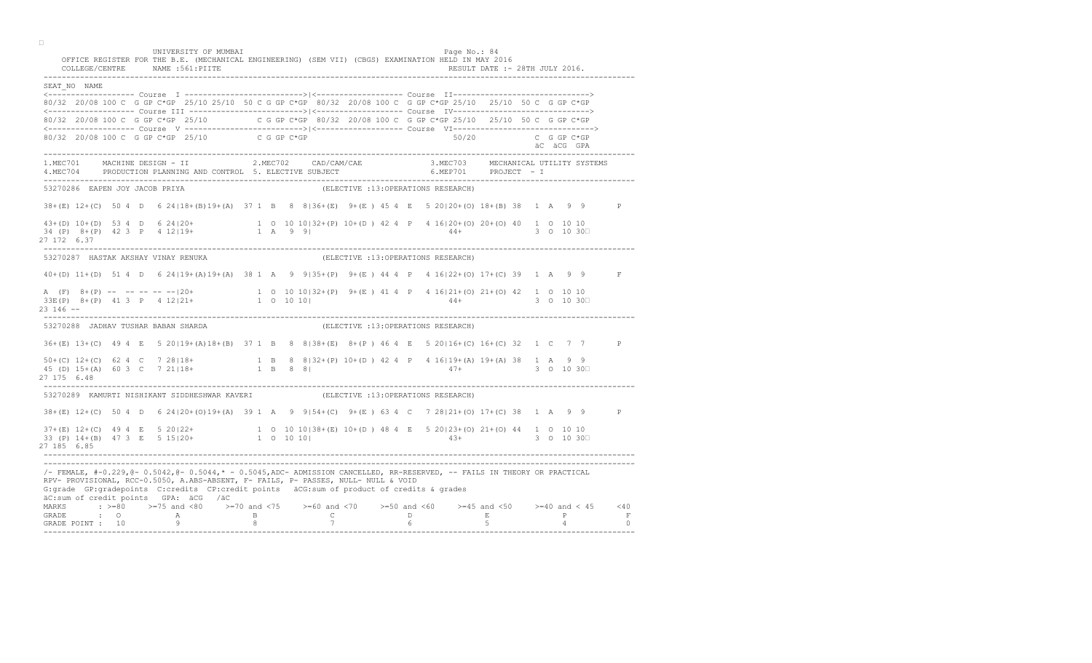TO BE AUTHENTICATED BY PCE EXAMCELL UNIVERSITY OF MUMBAI Page No.: 84 OFFICE REGISTER FOR THE B.E. (MECHANICAL ENGINEERING) (SEM VII) (CBGS) EXAMINATION HELD IN MAY 2016<br>COLLEGE/CENTRE 198TH JULY 2016. COLLEGE/CENTRE NAME :561:PIITE ---------------------------------------------------------------------------------------------------------------------------------- SEAT\_NO NAME <------------------- Course I -------------------------->|<------------------- Course II------------------------------> 80/32 20/08 100 C G GP C\*GP 25/10 25/10 50 C G GP C\*GP 80/32 20/08 100 C G GP C\*GP 25/10 25/10 50 C G GP C\*GP <------------------- Course III ------------------------->|<------------------- Course IV------------------------------> 80/32 20/08 100 C G GP C\*GP 25/10 C G GP C\*GP 80/32 20/08 100 C G GP C\*GP 25/10 25/10 50 C G GP C\*GP <------------------- Course V -------------------------->|<------------------- Course VI------------------------------->  $80/32$  20/08 100 C G GP C\*GP 25/10 C G GP C\*GP äC äCG GPA ---------------------------------------------------------------------------------------------------------------------------------- 1.MEC701 MACHINE DESIGN - II 2.MEC702 CAD/CAM/CAE 3.MEC703 MECHANICAL UTILITY SYSTEMS 4.MEC704 PRODUCTION PLANNING AND CONTROL 5. ELECTIVE SUBJECT ---------------------------------------------------------------------------------------------------------------------------------- 53270286 EAPEN JOY JACOB PRIYA (ELECTIVE :13:OPERATIONS RESEARCH) 38+(E) 12+(C) 50 4 D 6 24|18+(B)19+(A) 37 1 B 8 8|36+(E) 9+(E ) 45 4 E 5 20|20+(O) 18+(B) 38 1 A 9 9 P 1 0 10 10 132 + (P) 10 + (D) 42 4 P 4 16 20 + (O) 20 + (O) 40 1 0 10 10  $34$  (P)  $8+(P)$   $42$  3 P  $4$  12 | 19 + 27 172 6.37 ---------------------------------------------------------------------------------------------------------------------------------- 53270287 HASTAK AKSHAY VINAY RENUKA 40+(D) 11+(D) 51 4 D 6 24|19+(A)19+(A) 38 1 A 9 9|35+(P) 9+(E ) 44 4 P 4 16|22+(O) 17+(C) 39 1 A 9 9 F A  $(F)$  8+(P) -- -- -- -- -- -- 120+  $1 \t0 \t10 \t10 \t132+(P) \t9+(E) \t41 \t4 P \t4 \t16 \t21+(O) \t21+(O) \t42 \t1 0 \t10 \t1$  $33E(P)$   $8+(P)$   $413$  P  $4$   $12|21+$  $23 146 - -$ ---------------------------------------------------------------------------------------------------------------------------------- 53270288 JADHAV TUSHAR BABAN SHARDA 36+(E) 13+(C) 49 4 E 5 20|19+(A)18+(B) 37 1 B 8 8|38+(E) 8+(P) 46 4 E 5 20|16+(C) 16+(C) 32 50+(C) 12+(C) 62 4 C 7 28|18+ 1 B 8 8|32+(P) 10+(D ) 42 4 P 4 16|19+(A) 19+(A) 38 1 A 9 9 45 (D) 15+(A) 60 3 C 7 21|18+ 1 B 8 8| 47+ 3 O 10 30
 27 175 6.48 ---------------------------------------------------------------------------------------------------------------------------------- 53270289 KAMURTI NISHIKANT SIDDHESHWAR KAVERI  $38+(E)$  12+(C) 50 4 D 6 24 | 20 + (O) 19 + (A) 39 1 A 9 9 | 54 + (C) 9 + (E) 63 4 37+(E) 12+(C) 49 4 E 5 20|22+ 1 O 10 10|38+(E) 10+(D) 48 4 E 5 20|23+(O) 21+(O) 44 1 O 10 10<br>33 (P) 14+(B) 47 3 E 5 15|20+ 1 O 10 10| 27 185 6.85 ---------------------------------------------------------------------------------------------------------------------------------- ---------------------------------------------------------------------------------------------------------------------------------- /- FEMALE, #-0.229,@- 0.5042,@- 0.5044,\* - 0.5045,ADC- ADMISSION CANCELLED, RR-RESERVED, -- FAILS IN THEORY OR PRACTICAL RPV- PROVISIONAL, RCC-0.5050, A.ABS-ABSENT, F- FAILS, P- PASSES, NULL- NULL & VOID G:grade GP:gradepoints C:credits CP:credit points äCG:sum of product of credits & grades äC:sum of credit points GPA: äCG /äC MARKS  $\begin{array}{lll} \text{a} \rightarrow \text{b} \rightarrow \text{c} \rightarrow \text{c} \rightarrow \text{d} \rightarrow \text{d} \rightarrow \text{d} \rightarrow \text{e} \rightarrow \text{d} \rightarrow \text{e} \rightarrow \text{e} \rightarrow \text{e} \rightarrow \text{e} \rightarrow \text{e} \rightarrow \text{e} \rightarrow \text{e} \rightarrow \text{e} \rightarrow \text{e} \rightarrow \text{e} \rightarrow \text{e} \rightarrow \text{e} \rightarrow \text{e} \rightarrow \text{e} \rightarrow \text{e} \rightarrow \text{e} \rightarrow \text{e} \rightarrow \text{e} \rightarrow \text{e} \rightarrow \text{e} \rightarrow \text{$  $C$   $C$ GRADE POINT : 10 ----------------------------------------------------------------------------------------------------------------------------------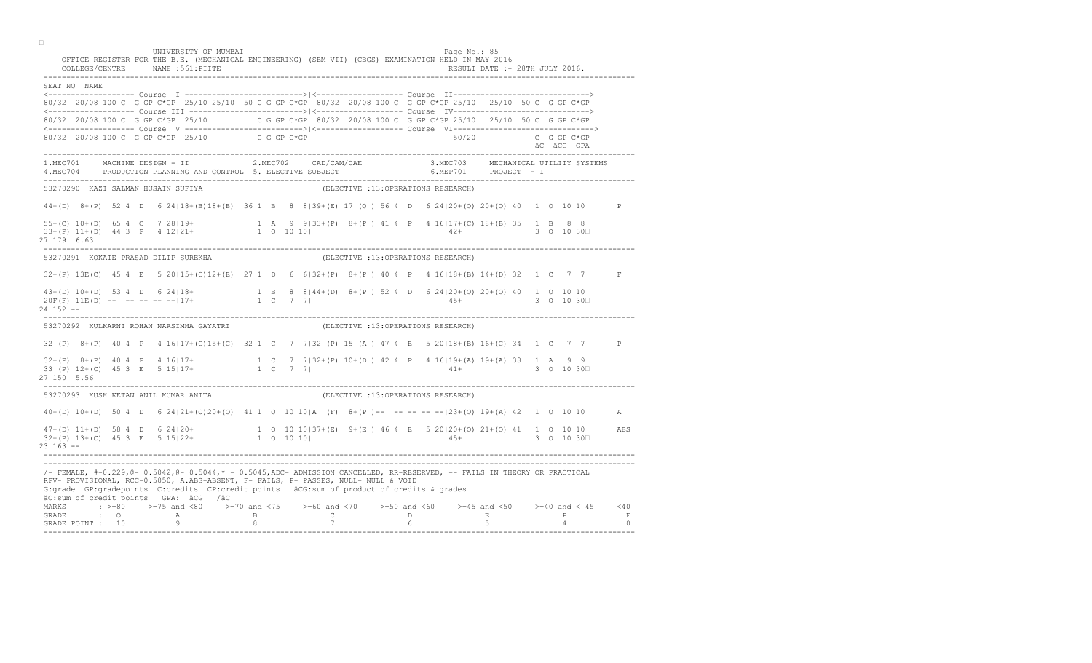TO BE AUTHENTICATED BY PCE EXAMCELL UNIVERSITY OF MUMBAI Page No.: 85 OFFICE REGISTER FOR THE B.E. (MECHANICAL ENGINEERING) (SEM VII) (CBGS) EXAMINATION HELD IN MAY 2016<br>COLLEGE/CENTRE 198TH JULY 2016. COLLEGE/CENTRE NAME :561:PIITE ---------------------------------------------------------------------------------------------------------------------------------- SEAT\_NO NAME <------------------- Course I -------------------------->|<------------------- Course II------------------------------> 80/32 20/08 100 C G GP C\*GP 25/10 25/10 50 C G GP C\*GP 80/32 20/08 100 C G GP C\*GP 25/10 25/10 50 C G GP C\*GP <------------------- Course III ------------------------->|<------------------- Course IV------------------------------> 80/32 20/08 100 C G GP C\*GP 25/10 C G GP C\*GP 80/32 20/08 100 C G GP C\*GP 25/10 25/10 50 C G GP C\*GP <------------------- Course V -------------------------->|<------------------- Course VI------------------------------->  $80/32$  20/08 100 C G GP C\*GP 25/10 C G GP C\*GP äC äCG GPA ---------------------------------------------------------------------------------------------------------------------------------- 1.MEC701 MACHINE DESIGN - II 2.MEC702 CAD/CAM/CAE 3.MEC703 MECHANICAL UTILITY SYSTEMS 4.MEC704 PRODUCTION PLANNING AND CONTROL 5. ELECTIVE SUBJECT ---------------------------------------------------------------------------------------------------------------------------------- 53270290 KAZI SALMAN HUSAIN SUFIYA 44+(D) 8+(P) 52 4 D 6 24|18+(B)18+(B) 36 1 B 8 8|39+(E) 17 (O ) 56 4 D 6 24|20+(O) 20+(O) 40 1 O 10 10 P 1 A 9 9|33+(P) 8+(P) 41 4 P 4 16|17+(C) 18+(B) 35 1 B 8 8  $33+(P)$  11+(D) 44 3 P 4 12|21+ 27 179 6.63 ---------------------------------------------------------------------------------------------------------------------------------- 53270291 KOKATE PRASAD DILIP SUREKHA 32+(P) 13E(C) 45 4 E 5 20|15+(C)12+(E) 27 1 D 6 6|32+(P) 8+(P ) 40 4 P 4 16|18+(B) 14+(D) 32 1 C 7 7 F 43+(D) 10+(D) 53 4 D 6 24|18+ 1 B 8 8|44+(D) 8+(P ) 52 4 D 6 24|20+(O) 20+(O) 40 1 O 10 10 20F(F) 11E(D) -- -- -- -- --|17+ 1 C 7 7| 45+ 3 O 10 30
 24 152 -- ---------------------------------------------------------------------------------------------------------------------------------- 53270292 KULKARNI ROHAN NARSIMHA GAYATRI 32 (P) 8+(P) 40 4 P 4 16|17+(C)15+(C) 32 1 C 7 7|32 (P) 15 (A) 47 4 E 5 20|18+(B) 16+(C) 34 32+(P) 8+(P) 40 4 P 4 16|17+<br>33 (P) 12+(C) 45 3 E 5 15|17+<br>3 O 10 30□ 27 150 5.56 ---------------------------------------------------------------------------------------------------------------------------------- 53270293 KUSH KETAN ANIL KUMAR ANITA 40+(D) 10+(D) 50 4 D 6 24|21+(O)20+(O) 41 1 O 10 10|A (F) 8+(P )-- -- -- -- --|23+(O) 19+(A) 42 1 O 10 10 A 47+(D) 11+(D) 58 4 D 6 24|20+ 1 O 10 10|37+(E) 9+(E) 46 4 E 5 20|20+(O) 21+(O) 41 1 O 10 10 ABS<br>32+(P) 13+(C) 45 3 E 5 15|22+ 1 O 10 10| 23 163 -- ---------------------------------------------------------------------------------------------------------------------------------- ---------------------------------------------------------------------------------------------------------------------------------- /- FEMALE, #-0.229,@- 0.5042,@- 0.5044,\* - 0.5045,ADC- ADMISSION CANCELLED, RR-RESERVED, -- FAILS IN THEORY OR PRACTICAL RPV- PROVISIONAL, RCC-0.5050, A.ABS-ABSENT, F- FAILS, P- PASSES, NULL- NULL & VOID G:grade GP:gradepoints C:credits CP:credit points äCG:sum of product of credits & grades äC:sum of credit points GPA: äCG /äC MARKS  $\begin{array}{lll} \text{a} \rightarrow \text{b} \rightarrow \text{c} \rightarrow \text{c} \rightarrow \text{d} \rightarrow \text{d} \rightarrow \text{d} \rightarrow \text{e} \rightarrow \text{d} \rightarrow \text{e} \rightarrow \text{e} \rightarrow \text{e} \rightarrow \text{e} \rightarrow \text{e} \rightarrow \text{e} \rightarrow \text{e} \rightarrow \text{e} \rightarrow \text{e} \rightarrow \text{e} \rightarrow \text{e} \rightarrow \text{e} \rightarrow \text{e} \rightarrow \text{e} \rightarrow \text{e} \rightarrow \text{e} \rightarrow \text{e} \rightarrow \text{e} \rightarrow \text{e} \rightarrow \text{e} \rightarrow \text{$  $C$   $R$ GRADE POINT : 10 ----------------------------------------------------------------------------------------------------------------------------------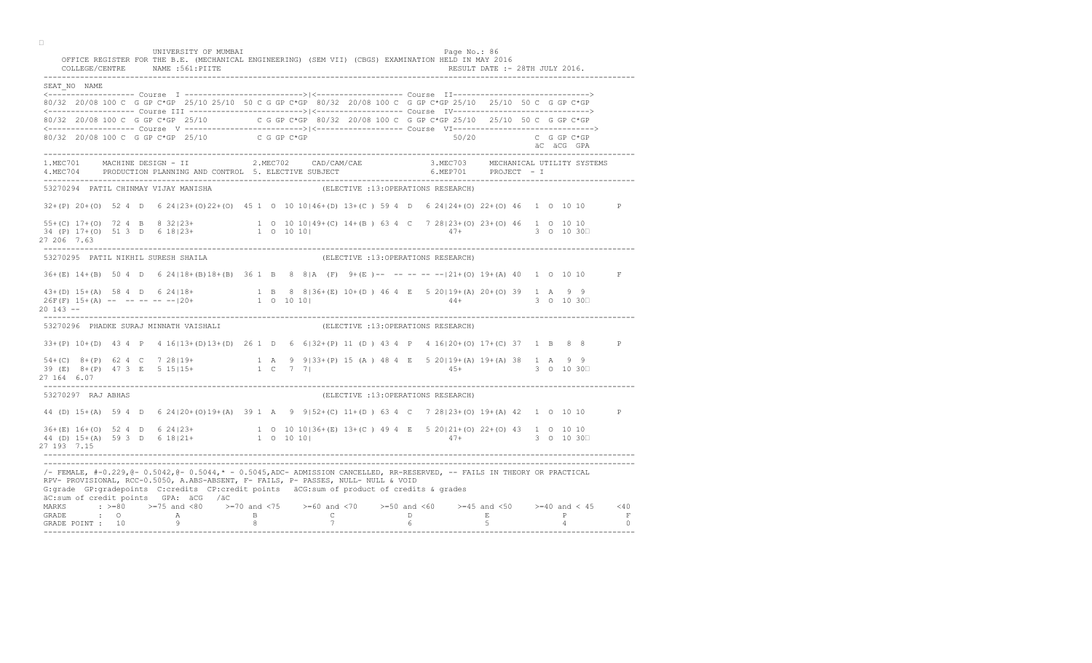TO BE A REPORT OF BUILDING UNIVERSITY OF MUMBAI Page No.: 86 OFFICE REGISTER FOR THE B.E. (MECHANICAL ENGINEERING) (SEM VII) (CBGS) EXAMINATION HELD IN MAY 2016<br>COLLEGE/CENTRE 198TH JULY 2016. COLLEGE/CENTRE NAME :561:PIITE ---------------------------------------------------------------------------------------------------------------------------------- SEAT\_NO NAME <------------------- Course I -------------------------->|<------------------- Course II------------------------------> 80/32 20/08 100 C G GP C\*GP 25/10 25/10 50 C G GP C\*GP 80/32 20/08 100 C G GP C\*GP 25/10 25/10 50 C G GP C\*GP <------------------- Course III ------------------------->|<------------------- Course IV------------------------------> 80/32 20/08 100 C G GP C\*GP 25/10 C G GP C\*GP 80/32 20/08 100 C G GP C\*GP 25/10 25/10 50 C G GP C\*GP <------------------- Course V -------------------------->|<------------------- Course VI------------------------------->  $80/32$  20/08 100 C G GP C\*GP 25/10 C G GP C\*GP äC äCG GPA ---------------------------------------------------------------------------------------------------------------------------------- 1.MEC701 MACHINE DESIGN - II 2.MEC702 CAD/CAM/CAE 3.MEC703 MECHANICAL UTILITY SYSTEMS 4.MEC704 PRODUCTION PLANNING AND CONTROL 5. ELECTIVE SUBJECT ---------------------------------------------------------------------------------------------------------------------------------- 53270294 PATIL CHINMAY VIJAY MANISHA 32+(P) 20+(O) 52 4 D 6 24|23+(O)22+(O) 45 1 O 10 10|46+(D) 13+(C ) 59 4 D 6 24|24+(O) 22+(O) 46 1 O 10 10 P 55+(C) 17+(O) 72 4 B 8 32|23+ 1 O 10 10|49+(C) 14+(B ) 63 4 C 7 28|23+(O) 23+(O) 46 1 O 10 10  $34$  (P)  $17+(0)$  51 3 D 6 18123+ 27 206 7.63 ---------------------------------------------------------------------------------------------------------------------------------- 53270295 PATIL NIKHIL SURESH SHAILA 36+(E) 14+(B) 50 4 D 6 24|18+(B)18+(B) 36 1 B 8 8|A (F) 9+(E )-- -- -- -- --|21+(O) 19+(A) 40 1 O 10 10 F 43+(D) 15+(A) 58 4 D 6 24|18+ 1 B 8 8|36+(E) 10+(D ) 46 4 E 5 20|19+(A) 20+(O) 39 1 A 9 9 26F(F) 15+(A) -- -- -- -- --|20+ 1 O 10 10| 44+ 3 O 10 30
 20 143 -- ---------------------------------------------------------------------------------------------------------------------------------- 53270296 PHADKE SURAJ MINNATH VAISHALI  $33+(P)$  10+(D) 43 4 P 4 16|13+(D)13+(D) 26 1 D 6 6|32+(P)11 (D) 43 4 P 4 16|20+(O)17+(C) 37 54+(C) 8+(P) 62 4 C 7 28|19+ 1 A 9 9|33+(P) 15 (A ) 48 4 E 5 20|19+(A) 19+(A) 38 1 A 9 9 39 (E) 8+(P) 47 3 E 5 15|15+ 1 C 7 7| 45+ 3 O 10 30
 27 164 6.07 ---------------------------------------------------------------------------------------------------------------------------------- (ELECTIVE : 13:OPERATIONS RESEARCH 44 (D) 15+(A) 59 4 D 6 24|20+(O)19+(A) 39 1 A 9 9|52+(C) 11+(D) 63 4 36+(E) 16+(O) 52 4 D 6 24|23+ 1 O 10 10|36+(E) 13+(C) 49 4 E 5 20|21+(O) 22+(O) 43 1 O 10 10<br>44 (D) 15+(A) 59 3 D 6 18|21+ 1 O 10 10| 27 193 7.15 ---------------------------------------------------------------------------------------------------------------------------------- ---------------------------------------------------------------------------------------------------------------------------------- /- FEMALE, #-0.229,@- 0.5042,@- 0.5044,\* - 0.5045,ADC- ADMISSION CANCELLED, RR-RESERVED, -- FAILS IN THEORY OR PRACTICAL RPV- PROVISIONAL, RCC-0.5050, A.ABS-ABSENT, F- FAILS, P- PASSES, NULL- NULL & VOID G:grade GP:gradepoints C:credits CP:credit points äCG:sum of product of credits & grades äC:sum of credit points GPA: äCG /äC MARKS  $\begin{array}{lll} \text{a} \rightarrow \text{b} \rightarrow \text{c} \rightarrow \text{c} \rightarrow \text{d} \rightarrow \text{d} \rightarrow \text{d} \rightarrow \text{e} \rightarrow \text{d} \rightarrow \text{e} \rightarrow \text{e} \rightarrow \text{e} \rightarrow \text{e} \rightarrow \text{e} \rightarrow \text{e} \rightarrow \text{e} \rightarrow \text{e} \rightarrow \text{e} \rightarrow \text{e} \rightarrow \text{e} \rightarrow \text{e} \rightarrow \text{e} \rightarrow \text{e} \rightarrow \text{e} \rightarrow \text{e} \rightarrow \text{e} \rightarrow \text{e} \rightarrow \text{e} \rightarrow \text{e} \rightarrow \text{$  $C$   $C$ GRADE POINT : 10 ----------------------------------------------------------------------------------------------------------------------------------